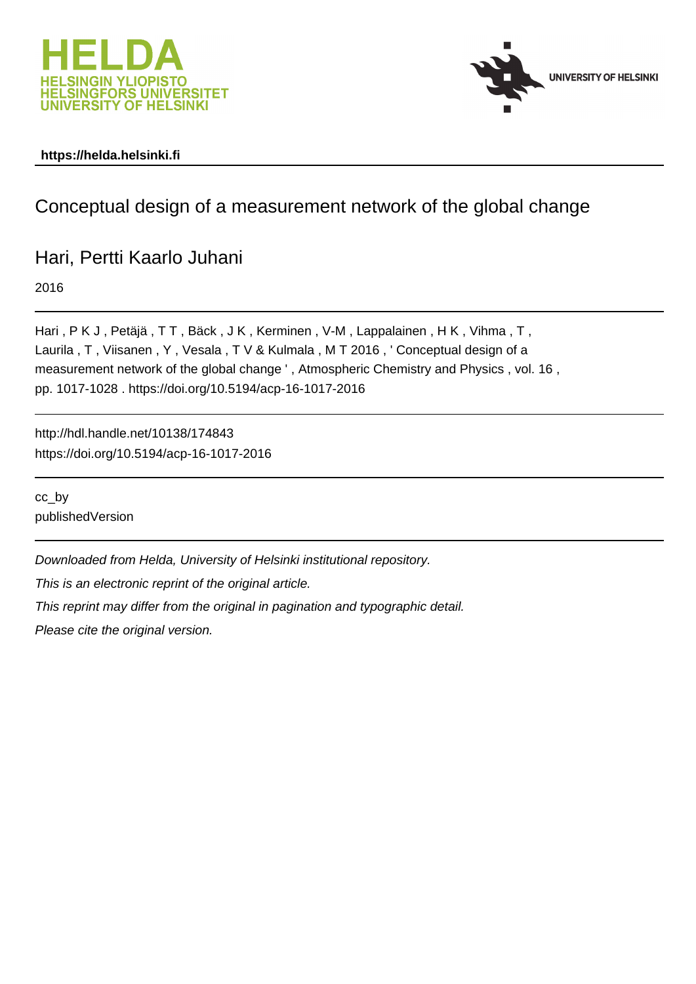



## **https://helda.helsinki.fi**

# Conceptual design of a measurement network of the global change

## Hari, Pertti Kaarlo Juhani

2016

Hari , P K J , Petäjä , T T , Bäck , J K , Kerminen , V-M , Lappalainen , H K , Vihma , T , Laurila , T , Viisanen , Y , Vesala , T V & Kulmala , M T 2016 , ' Conceptual design of a measurement network of the global change ' , Atmospheric Chemistry and Physics , vol. 16 , pp. 1017-1028 . https://doi.org/10.5194/acp-16-1017-2016

http://hdl.handle.net/10138/174843 https://doi.org/10.5194/acp-16-1017-2016

cc\_by publishedVersion

Downloaded from Helda, University of Helsinki institutional repository.

This is an electronic reprint of the original article.

This reprint may differ from the original in pagination and typographic detail.

Please cite the original version.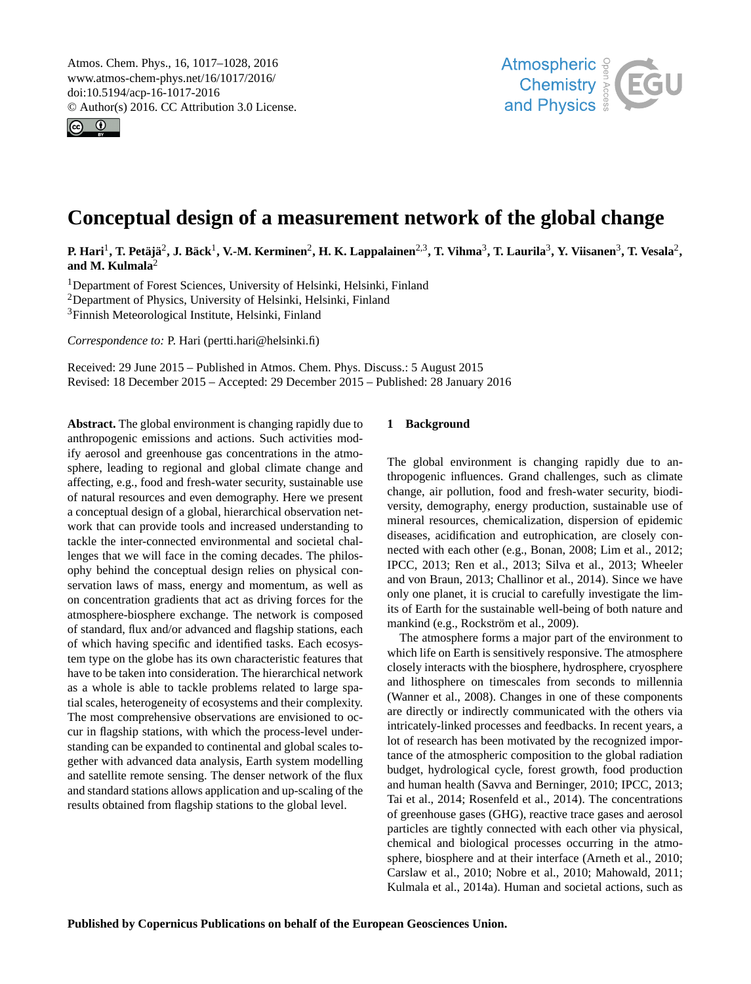Atmos. Chem. Phys., 16, 1017–1028, 2016 www.atmos-chem-phys.net/16/1017/2016/ doi:10.5194/acp-16-1017-2016 © Author(s) 2016. CC Attribution 3.0 License.





## **Conceptual design of a measurement network of the global change**

P. Hari<sup>1</sup>, T. Petäjä<sup>2</sup>, J. Bäck<sup>1</sup>, V.-M. Kerminen<sup>2</sup>, H. K. Lappalainen<sup>2,3</sup>, T. Vihma<sup>3</sup>, T. Laurila<sup>3</sup>, Y. Viisanen<sup>3</sup>, T. Vesala<sup>2</sup>, **and M. Kulmala**2

<sup>1</sup>Department of Forest Sciences, University of Helsinki, Helsinki, Finland <sup>2</sup>Department of Physics, University of Helsinki, Helsinki, Finland <sup>3</sup>Finnish Meteorological Institute, Helsinki, Finland

*Correspondence to:* P. Hari (pertti.hari@helsinki.fi)

Received: 29 June 2015 – Published in Atmos. Chem. Phys. Discuss.: 5 August 2015 Revised: 18 December 2015 – Accepted: 29 December 2015 – Published: 28 January 2016

**Abstract.** The global environment is changing rapidly due to anthropogenic emissions and actions. Such activities modify aerosol and greenhouse gas concentrations in the atmosphere, leading to regional and global climate change and affecting, e.g., food and fresh-water security, sustainable use of natural resources and even demography. Here we present a conceptual design of a global, hierarchical observation network that can provide tools and increased understanding to tackle the inter-connected environmental and societal challenges that we will face in the coming decades. The philosophy behind the conceptual design relies on physical conservation laws of mass, energy and momentum, as well as on concentration gradients that act as driving forces for the atmosphere-biosphere exchange. The network is composed of standard, flux and/or advanced and flagship stations, each of which having specific and identified tasks. Each ecosystem type on the globe has its own characteristic features that have to be taken into consideration. The hierarchical network as a whole is able to tackle problems related to large spatial scales, heterogeneity of ecosystems and their complexity. The most comprehensive observations are envisioned to occur in flagship stations, with which the process-level understanding can be expanded to continental and global scales together with advanced data analysis, Earth system modelling and satellite remote sensing. The denser network of the flux and standard stations allows application and up-scaling of the results obtained from flagship stations to the global level.

## **1 Background**

The global environment is changing rapidly due to anthropogenic influences. Grand challenges, such as climate change, air pollution, food and fresh-water security, biodiversity, demography, energy production, sustainable use of mineral resources, chemicalization, dispersion of epidemic diseases, acidification and eutrophication, are closely connected with each other (e.g., Bonan, 2008; Lim et al., 2012; IPCC, 2013; Ren et al., 2013; Silva et al., 2013; Wheeler and von Braun, 2013; Challinor et al., 2014). Since we have only one planet, it is crucial to carefully investigate the limits of Earth for the sustainable well-being of both nature and mankind (e.g., Rockström et al., 2009).

The atmosphere forms a major part of the environment to which life on Earth is sensitively responsive. The atmosphere closely interacts with the biosphere, hydrosphere, cryosphere and lithosphere on timescales from seconds to millennia (Wanner et al., 2008). Changes in one of these components are directly or indirectly communicated with the others via intricately-linked processes and feedbacks. In recent years, a lot of research has been motivated by the recognized importance of the atmospheric composition to the global radiation budget, hydrological cycle, forest growth, food production and human health (Savva and Berninger, 2010; IPCC, 2013; Tai et al., 2014; Rosenfeld et al., 2014). The concentrations of greenhouse gases (GHG), reactive trace gases and aerosol particles are tightly connected with each other via physical, chemical and biological processes occurring in the atmosphere, biosphere and at their interface (Arneth et al., 2010; Carslaw et al., 2010; Nobre et al., 2010; Mahowald, 2011; Kulmala et al., 2014a). Human and societal actions, such as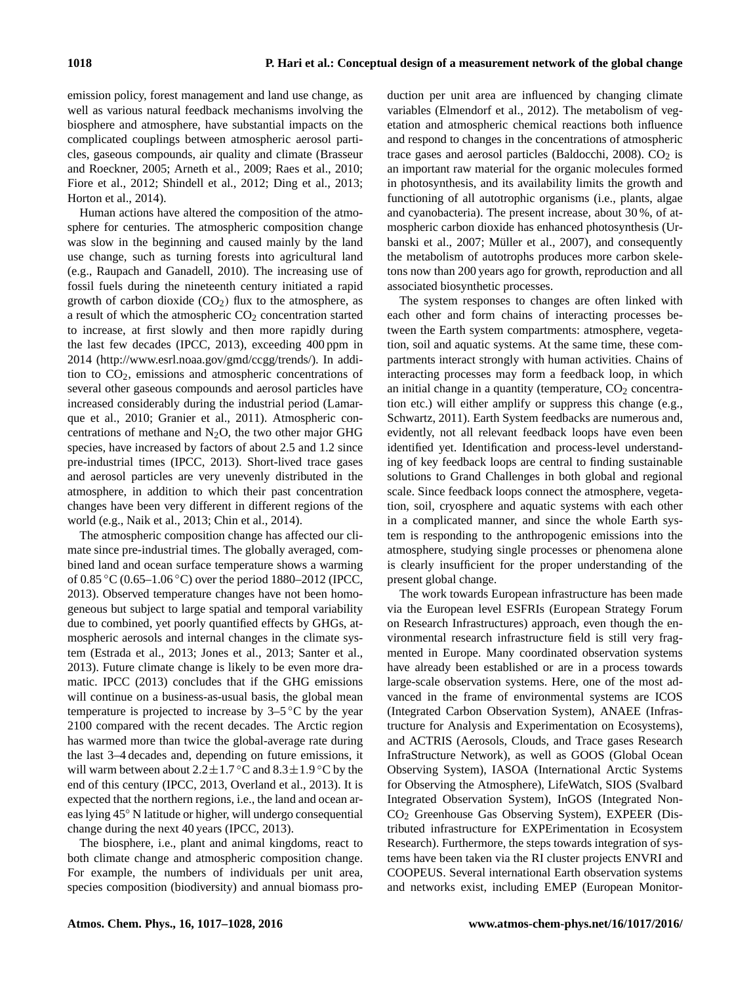emission policy, forest management and land use change, as well as various natural feedback mechanisms involving the biosphere and atmosphere, have substantial impacts on the complicated couplings between atmospheric aerosol particles, gaseous compounds, air quality and climate (Brasseur and Roeckner, 2005; Arneth et al., 2009; Raes et al., 2010; Fiore et al., 2012; Shindell et al., 2012; Ding et al., 2013; Horton et al., 2014).

Human actions have altered the composition of the atmosphere for centuries. The atmospheric composition change was slow in the beginning and caused mainly by the land use change, such as turning forests into agricultural land (e.g., Raupach and Ganadell, 2010). The increasing use of fossil fuels during the nineteenth century initiated a rapid growth of carbon dioxide  $(CO<sub>2</sub>)$  flux to the atmosphere, as a result of which the atmospheric  $CO<sub>2</sub>$  concentration started to increase, at first slowly and then more rapidly during the last few decades (IPCC, 2013), exceeding 400 ppm in 2014 [\(http://www.esrl.noaa.gov/gmd/ccgg/trends/\)](http://www.esrl.noaa.gov/gmd/ccgg/trends/). In addition to CO2, emissions and atmospheric concentrations of several other gaseous compounds and aerosol particles have increased considerably during the industrial period (Lamarque et al., 2010; Granier et al., 2011). Atmospheric concentrations of methane and  $N_2O$ , the two other major GHG species, have increased by factors of about 2.5 and 1.2 since pre-industrial times (IPCC, 2013). Short-lived trace gases and aerosol particles are very unevenly distributed in the atmosphere, in addition to which their past concentration changes have been very different in different regions of the world (e.g., Naik et al., 2013; Chin et al., 2014).

The atmospheric composition change has affected our climate since pre-industrial times. The globally averaged, combined land and ocean surface temperature shows a warming of 0.85 ◦C (0.65–1.06 ◦C) over the period 1880–2012 (IPCC, 2013). Observed temperature changes have not been homogeneous but subject to large spatial and temporal variability due to combined, yet poorly quantified effects by GHGs, atmospheric aerosols and internal changes in the climate system (Estrada et al., 2013; Jones et al., 2013; Santer et al., 2013). Future climate change is likely to be even more dramatic. IPCC (2013) concludes that if the GHG emissions will continue on a business-as-usual basis, the global mean temperature is projected to increase by  $3-5\degree$ C by the year 2100 compared with the recent decades. The Arctic region has warmed more than twice the global-average rate during the last 3–4 decades and, depending on future emissions, it will warm between about  $2.2 \pm 1.7$  °C and  $8.3 \pm 1.9$  °C by the end of this century (IPCC, 2013, Overland et al., 2013). It is expected that the northern regions, i.e., the land and ocean areas lying 45◦ N latitude or higher, will undergo consequential change during the next 40 years (IPCC, 2013).

The biosphere, i.e., plant and animal kingdoms, react to both climate change and atmospheric composition change. For example, the numbers of individuals per unit area, species composition (biodiversity) and annual biomass production per unit area are influenced by changing climate variables (Elmendorf et al., 2012). The metabolism of vegetation and atmospheric chemical reactions both influence and respond to changes in the concentrations of atmospheric trace gases and aerosol particles (Baldocchi, 2008).  $CO<sub>2</sub>$  is an important raw material for the organic molecules formed in photosynthesis, and its availability limits the growth and functioning of all autotrophic organisms (i.e., plants, algae and cyanobacteria). The present increase, about 30 %, of atmospheric carbon dioxide has enhanced photosynthesis (Urbanski et al., 2007; Müller et al., 2007), and consequently the metabolism of autotrophs produces more carbon skeletons now than 200 years ago for growth, reproduction and all associated biosynthetic processes.

The system responses to changes are often linked with each other and form chains of interacting processes between the Earth system compartments: atmosphere, vegetation, soil and aquatic systems. At the same time, these compartments interact strongly with human activities. Chains of interacting processes may form a feedback loop, in which an initial change in a quantity (temperature,  $CO<sub>2</sub>$  concentration etc.) will either amplify or suppress this change (e.g., Schwartz, 2011). Earth System feedbacks are numerous and, evidently, not all relevant feedback loops have even been identified yet. Identification and process-level understanding of key feedback loops are central to finding sustainable solutions to Grand Challenges in both global and regional scale. Since feedback loops connect the atmosphere, vegetation, soil, cryosphere and aquatic systems with each other in a complicated manner, and since the whole Earth system is responding to the anthropogenic emissions into the atmosphere, studying single processes or phenomena alone is clearly insufficient for the proper understanding of the present global change.

The work towards European infrastructure has been made via the European level ESFRIs (European Strategy Forum on Research Infrastructures) approach, even though the environmental research infrastructure field is still very fragmented in Europe. Many coordinated observation systems have already been established or are in a process towards large-scale observation systems. Here, one of the most advanced in the frame of environmental systems are ICOS (Integrated Carbon Observation System), ANAEE (Infrastructure for Analysis and Experimentation on Ecosystems), and ACTRIS (Aerosols, Clouds, and Trace gases Research InfraStructure Network), as well as GOOS (Global Ocean Observing System), IASOA (International Arctic Systems for Observing the Atmosphere), LifeWatch, SIOS (Svalbard Integrated Observation System), InGOS (Integrated Non-CO<sup>2</sup> Greenhouse Gas Observing System), EXPEER (Distributed infrastructure for EXPErimentation in Ecosystem Research). Furthermore, the steps towards integration of systems have been taken via the RI cluster projects ENVRI and COOPEUS. Several international Earth observation systems and networks exist, including EMEP (European Monitor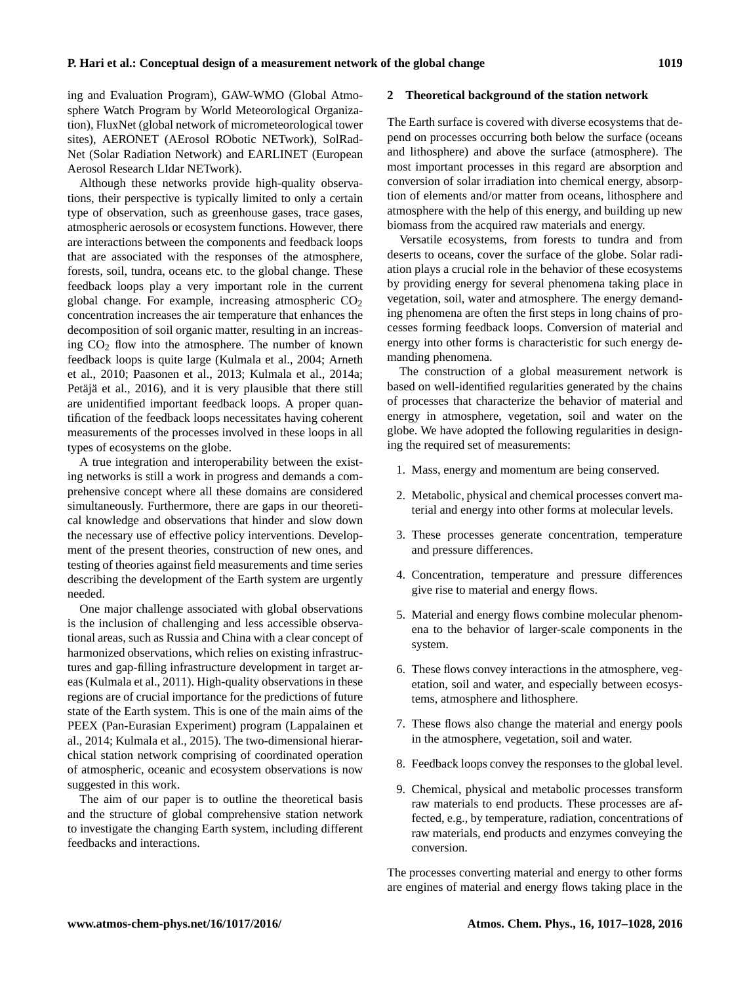ing and Evaluation Program), GAW-WMO (Global Atmosphere Watch Program by World Meteorological Organization), FluxNet (global network of micrometeorological tower sites), AERONET (AErosol RObotic NETwork), SolRad-Net (Solar Radiation Network) and EARLINET (European Aerosol Research LIdar NETwork).

Although these networks provide high-quality observations, their perspective is typically limited to only a certain type of observation, such as greenhouse gases, trace gases, atmospheric aerosols or ecosystem functions. However, there are interactions between the components and feedback loops that are associated with the responses of the atmosphere, forests, soil, tundra, oceans etc. to the global change. These feedback loops play a very important role in the current global change. For example, increasing atmospheric  $CO<sub>2</sub>$ concentration increases the air temperature that enhances the decomposition of soil organic matter, resulting in an increasing  $CO<sub>2</sub>$  flow into the atmosphere. The number of known feedback loops is quite large (Kulmala et al., 2004; Arneth et al., 2010; Paasonen et al., 2013; Kulmala et al., 2014a; Petäjä et al., 2016), and it is very plausible that there still are unidentified important feedback loops. A proper quantification of the feedback loops necessitates having coherent measurements of the processes involved in these loops in all types of ecosystems on the globe.

A true integration and interoperability between the existing networks is still a work in progress and demands a comprehensive concept where all these domains are considered simultaneously. Furthermore, there are gaps in our theoretical knowledge and observations that hinder and slow down the necessary use of effective policy interventions. Development of the present theories, construction of new ones, and testing of theories against field measurements and time series describing the development of the Earth system are urgently needed.

One major challenge associated with global observations is the inclusion of challenging and less accessible observational areas, such as Russia and China with a clear concept of harmonized observations, which relies on existing infrastructures and gap-filling infrastructure development in target areas (Kulmala et al., 2011). High-quality observations in these regions are of crucial importance for the predictions of future state of the Earth system. This is one of the main aims of the PEEX (Pan-Eurasian Experiment) program (Lappalainen et al., 2014; Kulmala et al., 2015). The two-dimensional hierarchical station network comprising of coordinated operation of atmospheric, oceanic and ecosystem observations is now suggested in this work.

The aim of our paper is to outline the theoretical basis and the structure of global comprehensive station network to investigate the changing Earth system, including different feedbacks and interactions.

#### **2 Theoretical background of the station network**

The Earth surface is covered with diverse ecosystems that depend on processes occurring both below the surface (oceans and lithosphere) and above the surface (atmosphere). The most important processes in this regard are absorption and conversion of solar irradiation into chemical energy, absorption of elements and/or matter from oceans, lithosphere and atmosphere with the help of this energy, and building up new biomass from the acquired raw materials and energy.

Versatile ecosystems, from forests to tundra and from deserts to oceans, cover the surface of the globe. Solar radiation plays a crucial role in the behavior of these ecosystems by providing energy for several phenomena taking place in vegetation, soil, water and atmosphere. The energy demanding phenomena are often the first steps in long chains of processes forming feedback loops. Conversion of material and energy into other forms is characteristic for such energy demanding phenomena.

The construction of a global measurement network is based on well-identified regularities generated by the chains of processes that characterize the behavior of material and energy in atmosphere, vegetation, soil and water on the globe. We have adopted the following regularities in designing the required set of measurements:

- 1. Mass, energy and momentum are being conserved.
- 2. Metabolic, physical and chemical processes convert material and energy into other forms at molecular levels.
- 3. These processes generate concentration, temperature and pressure differences.
- 4. Concentration, temperature and pressure differences give rise to material and energy flows.
- 5. Material and energy flows combine molecular phenomena to the behavior of larger-scale components in the system.
- 6. These flows convey interactions in the atmosphere, vegetation, soil and water, and especially between ecosystems, atmosphere and lithosphere.
- 7. These flows also change the material and energy pools in the atmosphere, vegetation, soil and water.
- 8. Feedback loops convey the responses to the global level.
- 9. Chemical, physical and metabolic processes transform raw materials to end products. These processes are affected, e.g., by temperature, radiation, concentrations of raw materials, end products and enzymes conveying the conversion.

The processes converting material and energy to other forms are engines of material and energy flows taking place in the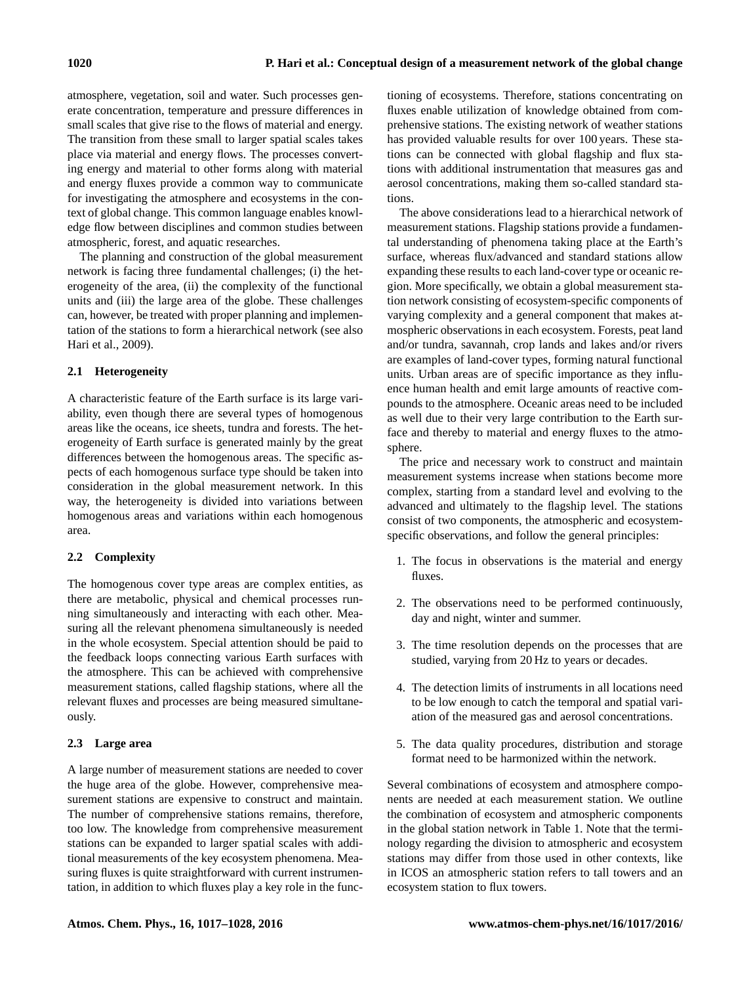atmosphere, vegetation, soil and water. Such processes generate concentration, temperature and pressure differences in small scales that give rise to the flows of material and energy. The transition from these small to larger spatial scales takes place via material and energy flows. The processes converting energy and material to other forms along with material and energy fluxes provide a common way to communicate for investigating the atmosphere and ecosystems in the context of global change. This common language enables knowledge flow between disciplines and common studies between atmospheric, forest, and aquatic researches.

The planning and construction of the global measurement network is facing three fundamental challenges; (i) the heterogeneity of the area, (ii) the complexity of the functional units and (iii) the large area of the globe. These challenges can, however, be treated with proper planning and implementation of the stations to form a hierarchical network (see also Hari et al., 2009).

## **2.1 Heterogeneity**

A characteristic feature of the Earth surface is its large variability, even though there are several types of homogenous areas like the oceans, ice sheets, tundra and forests. The heterogeneity of Earth surface is generated mainly by the great differences between the homogenous areas. The specific aspects of each homogenous surface type should be taken into consideration in the global measurement network. In this way, the heterogeneity is divided into variations between homogenous areas and variations within each homogenous area.

## **2.2 Complexity**

The homogenous cover type areas are complex entities, as there are metabolic, physical and chemical processes running simultaneously and interacting with each other. Measuring all the relevant phenomena simultaneously is needed in the whole ecosystem. Special attention should be paid to the feedback loops connecting various Earth surfaces with the atmosphere. This can be achieved with comprehensive measurement stations, called flagship stations, where all the relevant fluxes and processes are being measured simultaneously.

### **2.3 Large area**

A large number of measurement stations are needed to cover the huge area of the globe. However, comprehensive measurement stations are expensive to construct and maintain. The number of comprehensive stations remains, therefore, too low. The knowledge from comprehensive measurement stations can be expanded to larger spatial scales with additional measurements of the key ecosystem phenomena. Measuring fluxes is quite straightforward with current instrumentation, in addition to which fluxes play a key role in the functioning of ecosystems. Therefore, stations concentrating on fluxes enable utilization of knowledge obtained from comprehensive stations. The existing network of weather stations has provided valuable results for over 100 years. These stations can be connected with global flagship and flux stations with additional instrumentation that measures gas and aerosol concentrations, making them so-called standard stations.

The above considerations lead to a hierarchical network of measurement stations. Flagship stations provide a fundamental understanding of phenomena taking place at the Earth's surface, whereas flux/advanced and standard stations allow expanding these results to each land-cover type or oceanic region. More specifically, we obtain a global measurement station network consisting of ecosystem-specific components of varying complexity and a general component that makes atmospheric observations in each ecosystem. Forests, peat land and/or tundra, savannah, crop lands and lakes and/or rivers are examples of land-cover types, forming natural functional units. Urban areas are of specific importance as they influence human health and emit large amounts of reactive compounds to the atmosphere. Oceanic areas need to be included as well due to their very large contribution to the Earth surface and thereby to material and energy fluxes to the atmosphere.

The price and necessary work to construct and maintain measurement systems increase when stations become more complex, starting from a standard level and evolving to the advanced and ultimately to the flagship level. The stations consist of two components, the atmospheric and ecosystemspecific observations, and follow the general principles:

- 1. The focus in observations is the material and energy fluxes.
- 2. The observations need to be performed continuously, day and night, winter and summer.
- 3. The time resolution depends on the processes that are studied, varying from 20 Hz to years or decades.
- 4. The detection limits of instruments in all locations need to be low enough to catch the temporal and spatial variation of the measured gas and aerosol concentrations.
- 5. The data quality procedures, distribution and storage format need to be harmonized within the network.

Several combinations of ecosystem and atmosphere components are needed at each measurement station. We outline the combination of ecosystem and atmospheric components in the global station network in Table 1. Note that the terminology regarding the division to atmospheric and ecosystem stations may differ from those used in other contexts, like in ICOS an atmospheric station refers to tall towers and an ecosystem station to flux towers.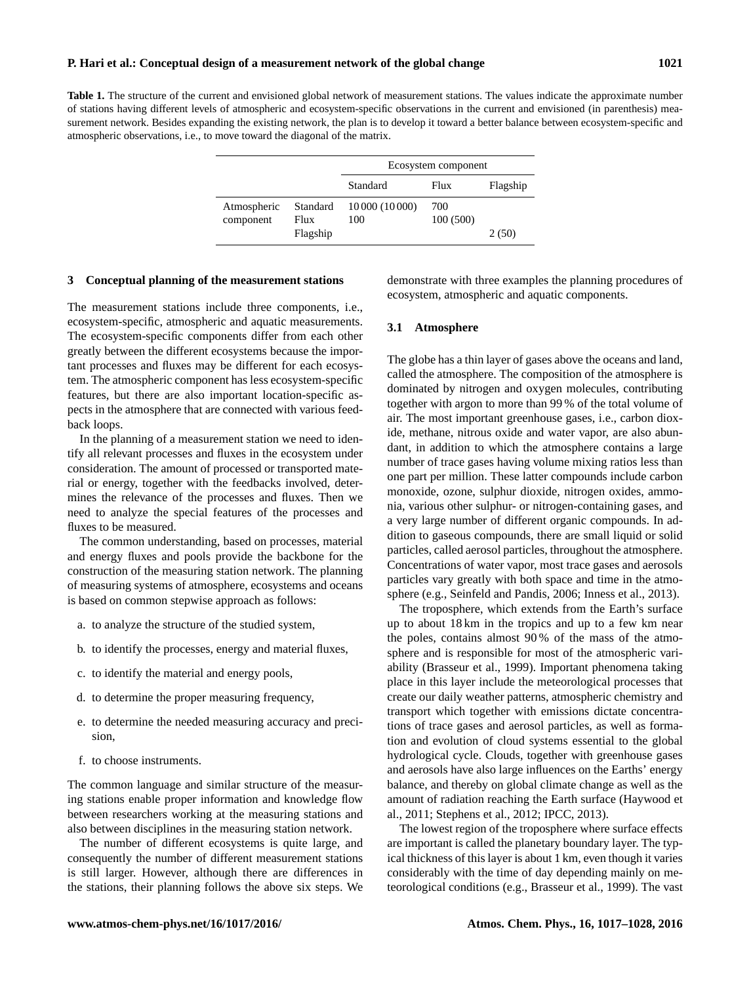**Table 1.** The structure of the current and envisioned global network of measurement stations. The values indicate the approximate number of stations having different levels of atmospheric and ecosystem-specific observations in the current and envisioned (in parenthesis) measurement network. Besides expanding the existing network, the plan is to develop it toward a better balance between ecosystem-specific and atmospheric observations, i.e., to move toward the diagonal of the matrix.

|                          |                              | Ecosystem component    |                 |          |
|--------------------------|------------------------------|------------------------|-----------------|----------|
|                          |                              | Standard               | Flux            | Flagship |
| Atmospheric<br>component | Standard<br>Flux<br>Flagship | 10 000 (10 000)<br>100 | 700<br>100(500) | 2(50)    |

### **3 Conceptual planning of the measurement stations**

The measurement stations include three components, i.e., ecosystem-specific, atmospheric and aquatic measurements. The ecosystem-specific components differ from each other greatly between the different ecosystems because the important processes and fluxes may be different for each ecosystem. The atmospheric component has less ecosystem-specific features, but there are also important location-specific aspects in the atmosphere that are connected with various feedback loops.

In the planning of a measurement station we need to identify all relevant processes and fluxes in the ecosystem under consideration. The amount of processed or transported material or energy, together with the feedbacks involved, determines the relevance of the processes and fluxes. Then we need to analyze the special features of the processes and fluxes to be measured.

The common understanding, based on processes, material and energy fluxes and pools provide the backbone for the construction of the measuring station network. The planning of measuring systems of atmosphere, ecosystems and oceans is based on common stepwise approach as follows:

- a. to analyze the structure of the studied system,
- b. to identify the processes, energy and material fluxes,
- c. to identify the material and energy pools,
- d. to determine the proper measuring frequency,
- e. to determine the needed measuring accuracy and precision,
- f. to choose instruments.

The common language and similar structure of the measuring stations enable proper information and knowledge flow between researchers working at the measuring stations and also between disciplines in the measuring station network.

The number of different ecosystems is quite large, and consequently the number of different measurement stations is still larger. However, although there are differences in the stations, their planning follows the above six steps. We demonstrate with three examples the planning procedures of ecosystem, atmospheric and aquatic components.

#### **3.1 Atmosphere**

The globe has a thin layer of gases above the oceans and land, called the atmosphere. The composition of the atmosphere is dominated by nitrogen and oxygen molecules, contributing together with argon to more than 99 % of the total volume of air. The most important greenhouse gases, i.e., carbon dioxide, methane, nitrous oxide and water vapor, are also abundant, in addition to which the atmosphere contains a large number of trace gases having volume mixing ratios less than one part per million. These latter compounds include carbon monoxide, ozone, sulphur dioxide, nitrogen oxides, ammonia, various other sulphur- or nitrogen-containing gases, and a very large number of different organic compounds. In addition to gaseous compounds, there are small liquid or solid particles, called aerosol particles, throughout the atmosphere. Concentrations of water vapor, most trace gases and aerosols particles vary greatly with both space and time in the atmosphere (e.g., Seinfeld and Pandis, 2006; Inness et al., 2013).

The troposphere, which extends from the Earth's surface up to about 18 km in the tropics and up to a few km near the poles, contains almost 90 % of the mass of the atmosphere and is responsible for most of the atmospheric variability (Brasseur et al., 1999). Important phenomena taking place in this layer include the meteorological processes that create our daily weather patterns, atmospheric chemistry and transport which together with emissions dictate concentrations of trace gases and aerosol particles, as well as formation and evolution of cloud systems essential to the global hydrological cycle. Clouds, together with greenhouse gases and aerosols have also large influences on the Earths' energy balance, and thereby on global climate change as well as the amount of radiation reaching the Earth surface (Haywood et al., 2011; Stephens et al., 2012; IPCC, 2013).

The lowest region of the troposphere where surface effects are important is called the planetary boundary layer. The typical thickness of this layer is about 1 km, even though it varies considerably with the time of day depending mainly on meteorological conditions (e.g., Brasseur et al., 1999). The vast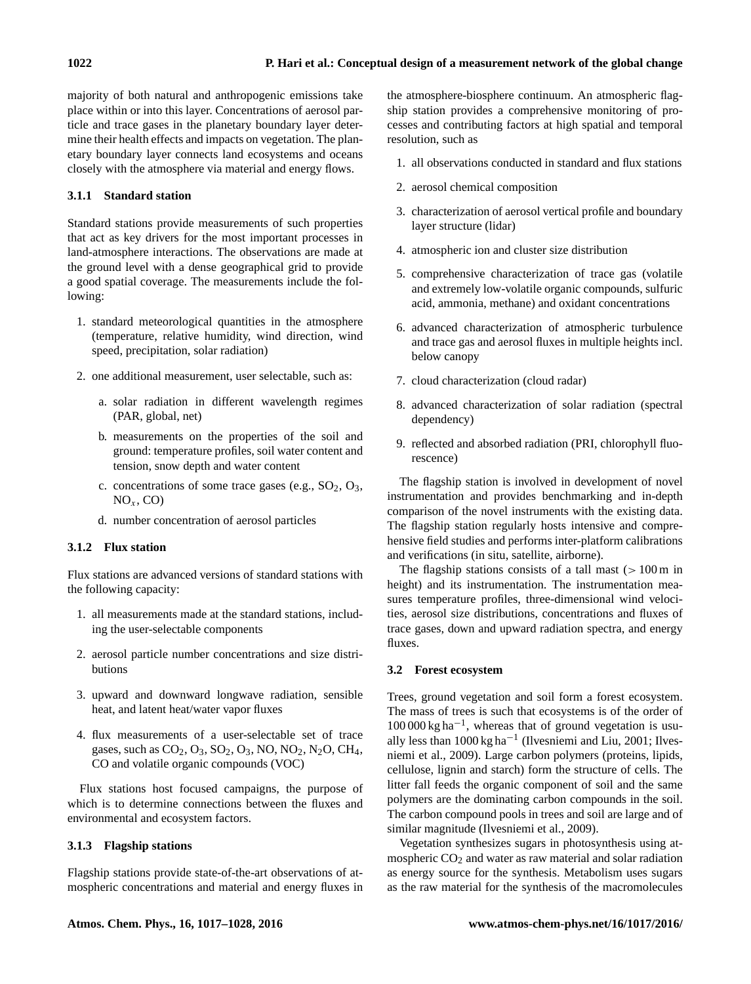majority of both natural and anthropogenic emissions take place within or into this layer. Concentrations of aerosol particle and trace gases in the planetary boundary layer determine their health effects and impacts on vegetation. The planetary boundary layer connects land ecosystems and oceans closely with the atmosphere via material and energy flows.

## **3.1.1 Standard station**

Standard stations provide measurements of such properties that act as key drivers for the most important processes in land-atmosphere interactions. The observations are made at the ground level with a dense geographical grid to provide a good spatial coverage. The measurements include the following:

- 1. standard meteorological quantities in the atmosphere (temperature, relative humidity, wind direction, wind speed, precipitation, solar radiation)
- 2. one additional measurement, user selectable, such as:
	- a. solar radiation in different wavelength regimes (PAR, global, net)
	- b. measurements on the properties of the soil and ground: temperature profiles, soil water content and tension, snow depth and water content
	- c. concentrations of some trace gases (e.g.,  $SO_2$ ,  $O_3$ ,  $NO<sub>x</sub>, CO$
	- d. number concentration of aerosol particles

## **3.1.2 Flux station**

Flux stations are advanced versions of standard stations with the following capacity:

- 1. all measurements made at the standard stations, including the user-selectable components
- 2. aerosol particle number concentrations and size distributions
- 3. upward and downward longwave radiation, sensible heat, and latent heat/water vapor fluxes
- 4. flux measurements of a user-selectable set of trace gases, such as CO2, O3, SO2, O3, NO, NO2, N2O, CH4, CO and volatile organic compounds (VOC)

Flux stations host focused campaigns, the purpose of which is to determine connections between the fluxes and environmental and ecosystem factors.

## **3.1.3 Flagship stations**

Flagship stations provide state-of-the-art observations of atmospheric concentrations and material and energy fluxes in the atmosphere-biosphere continuum. An atmospheric flagship station provides a comprehensive monitoring of processes and contributing factors at high spatial and temporal resolution, such as

- 1. all observations conducted in standard and flux stations
- 2. aerosol chemical composition
- 3. characterization of aerosol vertical profile and boundary layer structure (lidar)
- 4. atmospheric ion and cluster size distribution
- 5. comprehensive characterization of trace gas (volatile and extremely low-volatile organic compounds, sulfuric acid, ammonia, methane) and oxidant concentrations
- 6. advanced characterization of atmospheric turbulence and trace gas and aerosol fluxes in multiple heights incl. below canopy
- 7. cloud characterization (cloud radar)
- 8. advanced characterization of solar radiation (spectral dependency)
- 9. reflected and absorbed radiation (PRI, chlorophyll fluorescence)

The flagship station is involved in development of novel instrumentation and provides benchmarking and in-depth comparison of the novel instruments with the existing data. The flagship station regularly hosts intensive and comprehensive field studies and performs inter-platform calibrations and verifications (in situ, satellite, airborne).

The flagship stations consists of a tall mast  $(>100 \text{ m})$  in height) and its instrumentation. The instrumentation measures temperature profiles, three-dimensional wind velocities, aerosol size distributions, concentrations and fluxes of trace gases, down and upward radiation spectra, and energy fluxes.

## **3.2 Forest ecosystem**

Trees, ground vegetation and soil form a forest ecosystem. The mass of trees is such that ecosystems is of the order of 100 000 kg ha−<sup>1</sup> , whereas that of ground vegetation is usually less than 1000 kg ha−<sup>1</sup> (Ilvesniemi and Liu, 2001; Ilvesniemi et al., 2009). Large carbon polymers (proteins, lipids, cellulose, lignin and starch) form the structure of cells. The litter fall feeds the organic component of soil and the same polymers are the dominating carbon compounds in the soil. The carbon compound pools in trees and soil are large and of similar magnitude (Ilvesniemi et al., 2009).

Vegetation synthesizes sugars in photosynthesis using atmospheric  $CO<sub>2</sub>$  and water as raw material and solar radiation as energy source for the synthesis. Metabolism uses sugars as the raw material for the synthesis of the macromolecules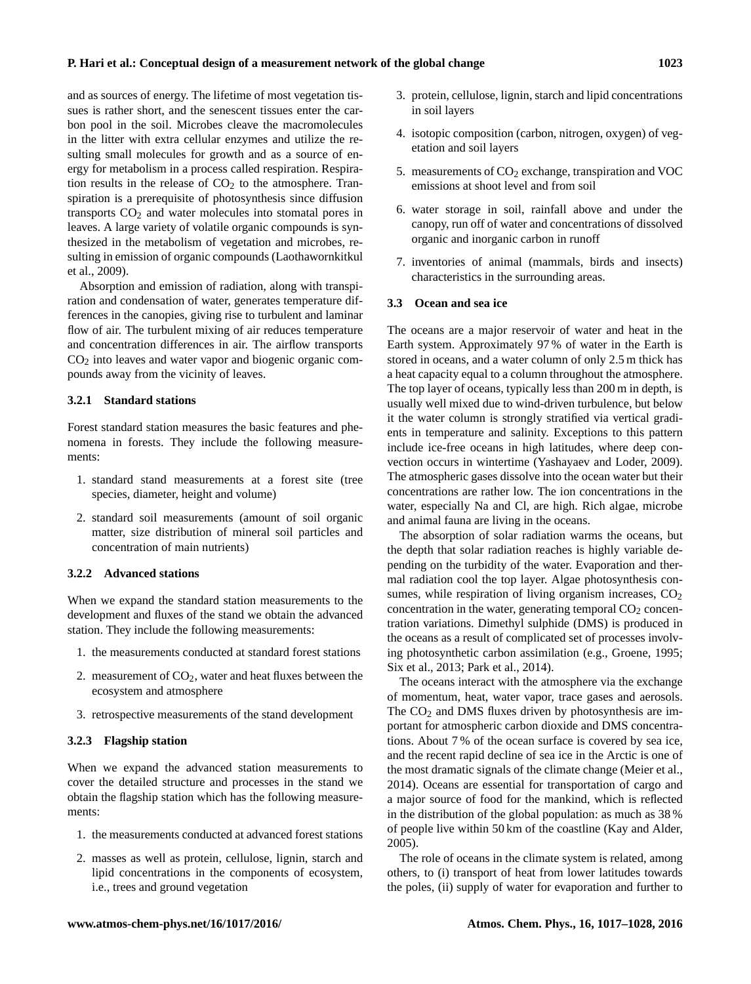and as sources of energy. The lifetime of most vegetation tissues is rather short, and the senescent tissues enter the carbon pool in the soil. Microbes cleave the macromolecules in the litter with extra cellular enzymes and utilize the resulting small molecules for growth and as a source of energy for metabolism in a process called respiration. Respiration results in the release of  $CO<sub>2</sub>$  to the atmosphere. Transpiration is a prerequisite of photosynthesis since diffusion transports  $CO<sub>2</sub>$  and water molecules into stomatal pores in leaves. A large variety of volatile organic compounds is synthesized in the metabolism of vegetation and microbes, resulting in emission of organic compounds (Laothawornkitkul et al., 2009).

Absorption and emission of radiation, along with transpiration and condensation of water, generates temperature differences in the canopies, giving rise to turbulent and laminar flow of air. The turbulent mixing of air reduces temperature and concentration differences in air. The airflow transports  $CO<sub>2</sub>$  into leaves and water vapor and biogenic organic compounds away from the vicinity of leaves.

### **3.2.1 Standard stations**

Forest standard station measures the basic features and phenomena in forests. They include the following measurements:

- 1. standard stand measurements at a forest site (tree species, diameter, height and volume)
- 2. standard soil measurements (amount of soil organic matter, size distribution of mineral soil particles and concentration of main nutrients)

#### **3.2.2 Advanced stations**

When we expand the standard station measurements to the development and fluxes of the stand we obtain the advanced station. They include the following measurements:

- 1. the measurements conducted at standard forest stations
- 2. measurement of  $CO<sub>2</sub>$ , water and heat fluxes between the ecosystem and atmosphere
- 3. retrospective measurements of the stand development

## **3.2.3 Flagship station**

When we expand the advanced station measurements to cover the detailed structure and processes in the stand we obtain the flagship station which has the following measurements:

- 1. the measurements conducted at advanced forest stations
- 2. masses as well as protein, cellulose, lignin, starch and lipid concentrations in the components of ecosystem, i.e., trees and ground vegetation
- 3. protein, cellulose, lignin, starch and lipid concentrations in soil layers
- 4. isotopic composition (carbon, nitrogen, oxygen) of vegetation and soil layers
- 5. measurements of  $CO<sub>2</sub>$  exchange, transpiration and VOC emissions at shoot level and from soil
- 6. water storage in soil, rainfall above and under the canopy, run off of water and concentrations of dissolved organic and inorganic carbon in runoff
- 7. inventories of animal (mammals, birds and insects) characteristics in the surrounding areas.

### **3.3 Ocean and sea ice**

The oceans are a major reservoir of water and heat in the Earth system. Approximately 97 % of water in the Earth is stored in oceans, and a water column of only 2.5 m thick has a heat capacity equal to a column throughout the atmosphere. The top layer of oceans, typically less than 200 m in depth, is usually well mixed due to wind-driven turbulence, but below it the water column is strongly stratified via vertical gradients in temperature and salinity. Exceptions to this pattern include ice-free oceans in high latitudes, where deep convection occurs in wintertime (Yashayaev and Loder, 2009). The atmospheric gases dissolve into the ocean water but their concentrations are rather low. The ion concentrations in the water, especially Na and Cl, are high. Rich algae, microbe and animal fauna are living in the oceans.

The absorption of solar radiation warms the oceans, but the depth that solar radiation reaches is highly variable depending on the turbidity of the water. Evaporation and thermal radiation cool the top layer. Algae photosynthesis consumes, while respiration of living organism increases,  $CO<sub>2</sub>$ concentration in the water, generating temporal  $CO<sub>2</sub>$  concentration variations. Dimethyl sulphide (DMS) is produced in the oceans as a result of complicated set of processes involving photosynthetic carbon assimilation (e.g., Groene, 1995; Six et al., 2013; Park et al., 2014).

The oceans interact with the atmosphere via the exchange of momentum, heat, water vapor, trace gases and aerosols. The  $CO<sub>2</sub>$  and DMS fluxes driven by photosynthesis are important for atmospheric carbon dioxide and DMS concentrations. About 7 % of the ocean surface is covered by sea ice, and the recent rapid decline of sea ice in the Arctic is one of the most dramatic signals of the climate change (Meier et al., 2014). Oceans are essential for transportation of cargo and a major source of food for the mankind, which is reflected in the distribution of the global population: as much as 38 % of people live within 50 km of the coastline (Kay and Alder, 2005).

The role of oceans in the climate system is related, among others, to (i) transport of heat from lower latitudes towards the poles, (ii) supply of water for evaporation and further to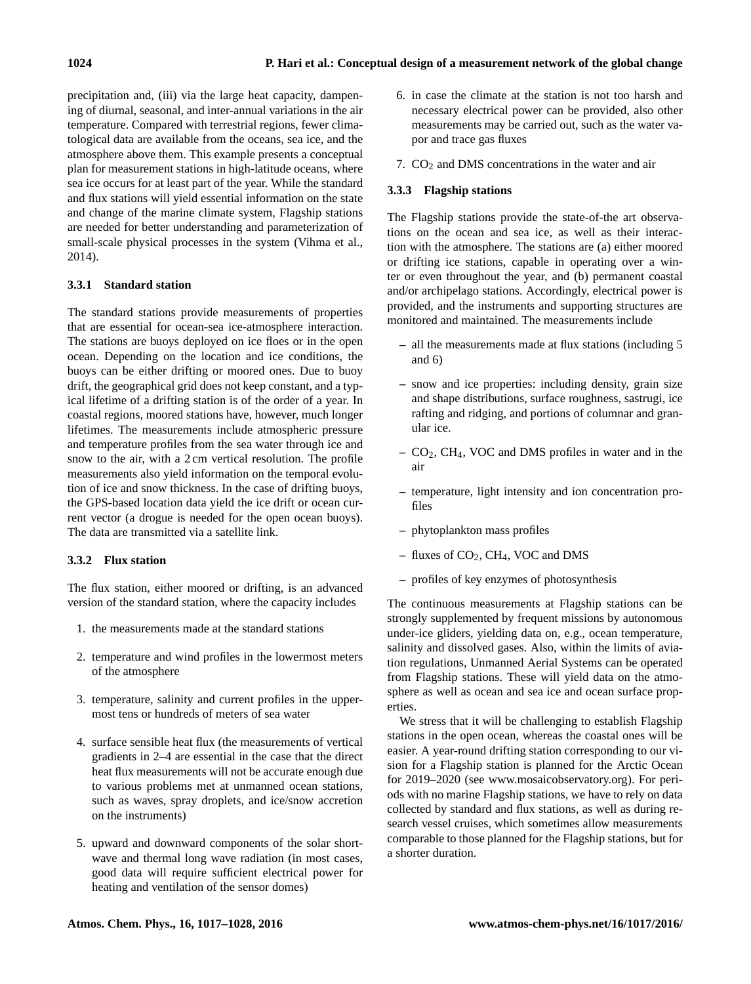precipitation and, (iii) via the large heat capacity, dampening of diurnal, seasonal, and inter-annual variations in the air temperature. Compared with terrestrial regions, fewer climatological data are available from the oceans, sea ice, and the atmosphere above them. This example presents a conceptual plan for measurement stations in high-latitude oceans, where sea ice occurs for at least part of the year. While the standard and flux stations will yield essential information on the state and change of the marine climate system, Flagship stations are needed for better understanding and parameterization of small-scale physical processes in the system (Vihma et al., 2014).

## **3.3.1 Standard station**

The standard stations provide measurements of properties that are essential for ocean-sea ice-atmosphere interaction. The stations are buoys deployed on ice floes or in the open ocean. Depending on the location and ice conditions, the buoys can be either drifting or moored ones. Due to buoy drift, the geographical grid does not keep constant, and a typical lifetime of a drifting station is of the order of a year. In coastal regions, moored stations have, however, much longer lifetimes. The measurements include atmospheric pressure and temperature profiles from the sea water through ice and snow to the air, with a 2 cm vertical resolution. The profile measurements also yield information on the temporal evolution of ice and snow thickness. In the case of drifting buoys, the GPS-based location data yield the ice drift or ocean current vector (a drogue is needed for the open ocean buoys). The data are transmitted via a satellite link.

## **3.3.2 Flux station**

The flux station, either moored or drifting, is an advanced version of the standard station, where the capacity includes

- 1. the measurements made at the standard stations
- 2. temperature and wind profiles in the lowermost meters of the atmosphere
- 3. temperature, salinity and current profiles in the uppermost tens or hundreds of meters of sea water
- 4. surface sensible heat flux (the measurements of vertical gradients in 2–4 are essential in the case that the direct heat flux measurements will not be accurate enough due to various problems met at unmanned ocean stations, such as waves, spray droplets, and ice/snow accretion on the instruments)
- 5. upward and downward components of the solar shortwave and thermal long wave radiation (in most cases, good data will require sufficient electrical power for heating and ventilation of the sensor domes)
- 6. in case the climate at the station is not too harsh and necessary electrical power can be provided, also other measurements may be carried out, such as the water vapor and trace gas fluxes
- 7.  $CO<sub>2</sub>$  and DMS concentrations in the water and air

## **3.3.3 Flagship stations**

The Flagship stations provide the state-of-the art observations on the ocean and sea ice, as well as their interaction with the atmosphere. The stations are (a) either moored or drifting ice stations, capable in operating over a winter or even throughout the year, and (b) permanent coastal and/or archipelago stations. Accordingly, electrical power is provided, and the instruments and supporting structures are monitored and maintained. The measurements include

- **–** all the measurements made at flux stations (including 5 and 6)
- **–** snow and ice properties: including density, grain size and shape distributions, surface roughness, sastrugi, ice rafting and ridging, and portions of columnar and granular ice.
- **–** CO2, CH4, VOC and DMS profiles in water and in the air
- **–** temperature, light intensity and ion concentration profiles
- **–** phytoplankton mass profiles
- **–** fluxes of CO2, CH4, VOC and DMS
- **–** profiles of key enzymes of photosynthesis

The continuous measurements at Flagship stations can be strongly supplemented by frequent missions by autonomous under-ice gliders, yielding data on, e.g., ocean temperature, salinity and dissolved gases. Also, within the limits of aviation regulations, Unmanned Aerial Systems can be operated from Flagship stations. These will yield data on the atmosphere as well as ocean and sea ice and ocean surface properties.

We stress that it will be challenging to establish Flagship stations in the open ocean, whereas the coastal ones will be easier. A year-round drifting station corresponding to our vision for a Flagship station is planned for the Arctic Ocean for 2019–2020 (see [www.mosaicobservatory.org\)](www.mosaicobservatory.org). For periods with no marine Flagship stations, we have to rely on data collected by standard and flux stations, as well as during research vessel cruises, which sometimes allow measurements comparable to those planned for the Flagship stations, but for a shorter duration.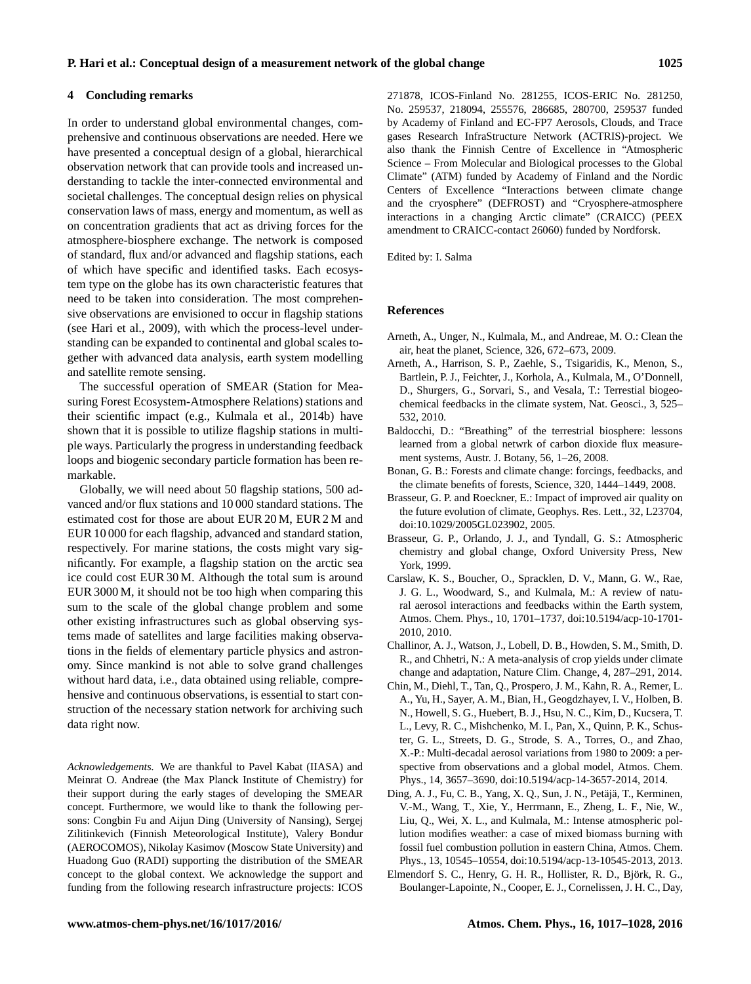#### **4 Concluding remarks**

In order to understand global environmental changes, comprehensive and continuous observations are needed. Here we have presented a conceptual design of a global, hierarchical observation network that can provide tools and increased understanding to tackle the inter-connected environmental and societal challenges. The conceptual design relies on physical conservation laws of mass, energy and momentum, as well as on concentration gradients that act as driving forces for the atmosphere-biosphere exchange. The network is composed of standard, flux and/or advanced and flagship stations, each of which have specific and identified tasks. Each ecosystem type on the globe has its own characteristic features that need to be taken into consideration. The most comprehensive observations are envisioned to occur in flagship stations (see Hari et al., 2009), with which the process-level understanding can be expanded to continental and global scales together with advanced data analysis, earth system modelling and satellite remote sensing.

The successful operation of SMEAR (Station for Measuring Forest Ecosystem-Atmosphere Relations) stations and their scientific impact (e.g., Kulmala et al., 2014b) have shown that it is possible to utilize flagship stations in multiple ways. Particularly the progress in understanding feedback loops and biogenic secondary particle formation has been remarkable.

Globally, we will need about 50 flagship stations, 500 advanced and/or flux stations and 10 000 standard stations. The estimated cost for those are about EUR 20 M, EUR 2 M and EUR 10 000 for each flagship, advanced and standard station, respectively. For marine stations, the costs might vary significantly. For example, a flagship station on the arctic sea ice could cost EUR 30 M. Although the total sum is around EUR 3000 M, it should not be too high when comparing this sum to the scale of the global change problem and some other existing infrastructures such as global observing systems made of satellites and large facilities making observations in the fields of elementary particle physics and astronomy. Since mankind is not able to solve grand challenges without hard data, i.e., data obtained using reliable, comprehensive and continuous observations, is essential to start construction of the necessary station network for archiving such data right now.

*Acknowledgements.* We are thankful to Pavel Kabat (IIASA) and Meinrat O. Andreae (the Max Planck Institute of Chemistry) for their support during the early stages of developing the SMEAR concept. Furthermore, we would like to thank the following persons: Congbin Fu and Aijun Ding (University of Nansing), Sergej Zilitinkevich (Finnish Meteorological Institute), Valery Bondur (AEROCOMOS), Nikolay Kasimov (Moscow State University) and Huadong Guo (RADI) supporting the distribution of the SMEAR concept to the global context. We acknowledge the support and funding from the following research infrastructure projects: ICOS

271878, ICOS-Finland No. 281255, ICOS-ERIC No. 281250, No. 259537, 218094, 255576, 286685, 280700, 259537 funded by Academy of Finland and EC-FP7 Aerosols, Clouds, and Trace gases Research InfraStructure Network (ACTRIS)-project. We also thank the Finnish Centre of Excellence in "Atmospheric Science – From Molecular and Biological processes to the Global Climate" (ATM) funded by Academy of Finland and the Nordic Centers of Excellence "Interactions between climate change and the cryosphere" (DEFROST) and "Cryosphere-atmosphere interactions in a changing Arctic climate" (CRAICC) (PEEX amendment to CRAICC-contact 26060) funded by Nordforsk.

Edited by: I. Salma

#### **References**

- Arneth, A., Unger, N., Kulmala, M., and Andreae, M. O.: Clean the air, heat the planet, Science, 326, 672–673, 2009.
- Arneth, A., Harrison, S. P., Zaehle, S., Tsigaridis, K., Menon, S., Bartlein, P. J., Feichter, J., Korhola, A., Kulmala, M., O'Donnell, D., Shurgers, G., Sorvari, S., and Vesala, T.: Terrestial biogeochemical feedbacks in the climate system, Nat. Geosci., 3, 525– 532, 2010.
- Baldocchi, D.: "Breathing" of the terrestrial biosphere: lessons learned from a global netwrk of carbon dioxide flux measurement systems, Austr. J. Botany, 56, 1–26, 2008.
- Bonan, G. B.: Forests and climate change: forcings, feedbacks, and the climate benefits of forests, Science, 320, 1444–1449, 2008.
- Brasseur, G. P. and Roeckner, E.: Impact of improved air quality on the future evolution of climate, Geophys. Res. Lett., 32, L23704, doi[:10.1029/2005GL023902,](http://dx.doi.org/10.1029/2005GL023902) 2005.
- Brasseur, G. P., Orlando, J. J., and Tyndall, G. S.: Atmospheric chemistry and global change, Oxford University Press, New York, 1999.
- Carslaw, K. S., Boucher, O., Spracklen, D. V., Mann, G. W., Rae, J. G. L., Woodward, S., and Kulmala, M.: A review of natural aerosol interactions and feedbacks within the Earth system, Atmos. Chem. Phys., 10, 1701–1737, doi[:10.5194/acp-10-1701-](http://dx.doi.org/10.5194/acp-10-1701-2010) [2010,](http://dx.doi.org/10.5194/acp-10-1701-2010) 2010.
- Challinor, A. J., Watson, J., Lobell, D. B., Howden, S. M., Smith, D. R., and Chhetri, N.: A meta-analysis of crop yields under climate change and adaptation, Nature Clim. Change, 4, 287–291, 2014.
- Chin, M., Diehl, T., Tan, Q., Prospero, J. M., Kahn, R. A., Remer, L. A., Yu, H., Sayer, A. M., Bian, H., Geogdzhayev, I. V., Holben, B. N., Howell, S. G., Huebert, B. J., Hsu, N. C., Kim, D., Kucsera, T. L., Levy, R. C., Mishchenko, M. I., Pan, X., Quinn, P. K., Schuster, G. L., Streets, D. G., Strode, S. A., Torres, O., and Zhao, X.-P.: Multi-decadal aerosol variations from 1980 to 2009: a perspective from observations and a global model, Atmos. Chem. Phys., 14, 3657–3690, doi[:10.5194/acp-14-3657-2014,](http://dx.doi.org/10.5194/acp-14-3657-2014) 2014.
- Ding, A. J., Fu, C. B., Yang, X. Q., Sun, J. N., Petäjä, T., Kerminen, V.-M., Wang, T., Xie, Y., Herrmann, E., Zheng, L. F., Nie, W., Liu, Q., Wei, X. L., and Kulmala, M.: Intense atmospheric pollution modifies weather: a case of mixed biomass burning with fossil fuel combustion pollution in eastern China, Atmos. Chem. Phys., 13, 10545–10554, doi[:10.5194/acp-13-10545-2013,](http://dx.doi.org/10.5194/acp-13-10545-2013) 2013.
- Elmendorf S. C., Henry, G. H. R., Hollister, R. D., Björk, R. G., Boulanger-Lapointe, N., Cooper, E. J., Cornelissen, J. H. C., Day,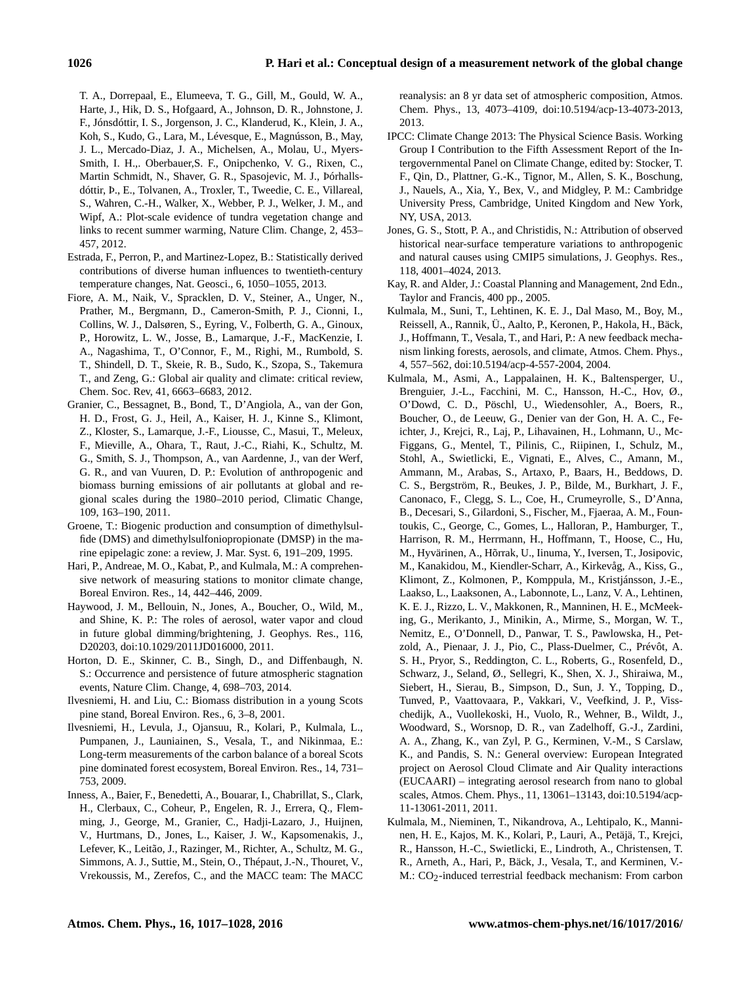T. A., Dorrepaal, E., Elumeeva, T. G., Gill, M., Gould, W. A., Harte, J., Hik, D. S., Hofgaard, A., Johnson, D. R., Johnstone, J. F., Jónsdóttir, I. S., Jorgenson, J. C., Klanderud, K., Klein, J. A., Koh, S., Kudo, G., Lara, M., Lévesque, E., Magnússon, B., May, J. L., Mercado-Diaz, J. A., Michelsen, A., Molau, U., Myers-Smith, I. H.,. Oberbauer,S. F., Onipchenko, V. G., Rixen, C., Martin Schmidt, N., Shaver, G. R., Spasojevic, M. J., Þórhallsdóttir, Þ., E., Tolvanen, A., Troxler, T., Tweedie, C. E., Villareal, S., Wahren, C.-H., Walker, X., Webber, P. J., Welker, J. M., and Wipf, A.: Plot-scale evidence of tundra vegetation change and links to recent summer warming, Nature Clim. Change, 2, 453– 457, 2012.

- Estrada, F., Perron, P., and Martinez-Lopez, B.: Statistically derived contributions of diverse human influences to twentieth-century temperature changes, Nat. Geosci., 6, 1050–1055, 2013.
- Fiore, A. M., Naik, V., Spracklen, D. V., Steiner, A., Unger, N., Prather, M., Bergmann, D., Cameron-Smith, P. J., Cionni, I., Collins, W. J., Dalsøren, S., Eyring, V., Folberth, G. A., Ginoux, P., Horowitz, L. W., Josse, B., Lamarque, J.-F., MacKenzie, I. A., Nagashima, T., O'Connor, F., M., Righi, M., Rumbold, S. T., Shindell, D. T., Skeie, R. B., Sudo, K., Szopa, S., Takemura T., and Zeng, G.: Global air quality and climate: critical review, Chem. Soc. Rev, 41, 6663–6683, 2012.
- Granier, C., Bessagnet, B., Bond, T., D'Angiola, A., van der Gon, H. D., Frost, G. J., Heil, A., Kaiser, H. J., Kinne S., Klimont, Z., Kloster, S., Lamarque, J.-F., Liousse, C., Masui, T., Meleux, F., Mieville, A., Ohara, T., Raut, J.-C., Riahi, K., Schultz, M. G., Smith, S. J., Thompson, A., van Aardenne, J., van der Werf, G. R., and van Vuuren, D. P.: Evolution of anthropogenic and biomass burning emissions of air pollutants at global and regional scales during the 1980–2010 period, Climatic Change, 109, 163–190, 2011.
- Groene, T.: Biogenic production and consumption of dimethylsulfide (DMS) and dimethylsulfoniopropionate (DMSP) in the marine epipelagic zone: a review, J. Mar. Syst. 6, 191–209, 1995.
- Hari, P., Andreae, M. O., Kabat, P., and Kulmala, M.: A comprehensive network of measuring stations to monitor climate change, Boreal Environ. Res., 14, 442–446, 2009.
- Haywood, J. M., Bellouin, N., Jones, A., Boucher, O., Wild, M., and Shine, K. P.: The roles of aerosol, water vapor and cloud in future global dimming/brightening, J. Geophys. Res., 116, D20203, doi[:10.1029/2011JD016000,](http://dx.doi.org/10.1029/2011JD016000) 2011.
- Horton, D. E., Skinner, C. B., Singh, D., and Diffenbaugh, N. S.: Occurrence and persistence of future atmospheric stagnation events, Nature Clim. Change, 4, 698–703, 2014.
- Ilvesniemi, H. and Liu, C.: Biomass distribution in a young Scots pine stand, Boreal Environ. Res., 6, 3–8, 2001.
- Ilvesniemi, H., Levula, J., Ojansuu, R., Kolari, P., Kulmala, L., Pumpanen, J., Launiainen, S., Vesala, T., and Nikinmaa, E.: Long-term measurements of the carbon balance of a boreal Scots pine dominated forest ecosystem, Boreal Environ. Res., 14, 731– 753, 2009.
- Inness, A., Baier, F., Benedetti, A., Bouarar, I., Chabrillat, S., Clark, H., Clerbaux, C., Coheur, P., Engelen, R. J., Errera, Q., Flemming, J., George, M., Granier, C., Hadji-Lazaro, J., Huijnen, V., Hurtmans, D., Jones, L., Kaiser, J. W., Kapsomenakis, J., Lefever, K., Leitão, J., Razinger, M., Richter, A., Schultz, M. G., Simmons, A. J., Suttie, M., Stein, O., Thépaut, J.-N., Thouret, V., Vrekoussis, M., Zerefos, C., and the MACC team: The MACC

reanalysis: an 8 yr data set of atmospheric composition, Atmos. Chem. Phys., 13, 4073–4109, doi[:10.5194/acp-13-4073-2013,](http://dx.doi.org/10.5194/acp-13-4073-2013) 2013.

- IPCC: Climate Change 2013: The Physical Science Basis. Working Group I Contribution to the Fifth Assessment Report of the Intergovernmental Panel on Climate Change, edited by: Stocker, T. F., Qin, D., Plattner, G.-K., Tignor, M., Allen, S. K., Boschung, J., Nauels, A., Xia, Y., Bex, V., and Midgley, P. M.: Cambridge University Press, Cambridge, United Kingdom and New York, NY, USA, 2013.
- Jones, G. S., Stott, P. A., and Christidis, N.: Attribution of observed historical near-surface temperature variations to anthropogenic and natural causes using CMIP5 simulations, J. Geophys. Res., 118, 4001–4024, 2013.
- Kay, R. and Alder, J.: Coastal Planning and Management, 2nd Edn., Taylor and Francis, 400 pp., 2005.
- Kulmala, M., Suni, T., Lehtinen, K. E. J., Dal Maso, M., Boy, M., Reissell, A., Rannik, Ü., Aalto, P., Keronen, P., Hakola, H., Bäck, J., Hoffmann, T., Vesala, T., and Hari, P.: A new feedback mechanism linking forests, aerosols, and climate, Atmos. Chem. Phys., 4, 557–562, doi[:10.5194/acp-4-557-2004,](http://dx.doi.org/10.5194/acp-4-557-2004) 2004.
- Kulmala, M., Asmi, A., Lappalainen, H. K., Baltensperger, U., Brenguier, J.-L., Facchini, M. C., Hansson, H.-C., Hov, Ø., O'Dowd, C. D., Pöschl, U., Wiedensohler, A., Boers, R., Boucher, O., de Leeuw, G., Denier van der Gon, H. A. C., Feichter, J., Krejci, R., Laj, P., Lihavainen, H., Lohmann, U., Mc-Figgans, G., Mentel, T., Pilinis, C., Riipinen, I., Schulz, M., Stohl, A., Swietlicki, E., Vignati, E., Alves, C., Amann, M., Ammann, M., Arabas, S., Artaxo, P., Baars, H., Beddows, D. C. S., Bergström, R., Beukes, J. P., Bilde, M., Burkhart, J. F., Canonaco, F., Clegg, S. L., Coe, H., Crumeyrolle, S., D'Anna, B., Decesari, S., Gilardoni, S., Fischer, M., Fjaeraa, A. M., Fountoukis, C., George, C., Gomes, L., Halloran, P., Hamburger, T., Harrison, R. M., Herrmann, H., Hoffmann, T., Hoose, C., Hu, M., Hyvärinen, A., Hõrrak, U., Iinuma, Y., Iversen, T., Josipovic, M., Kanakidou, M., Kiendler-Scharr, A., Kirkevåg, A., Kiss, G., Klimont, Z., Kolmonen, P., Komppula, M., Kristjánsson, J.-E., Laakso, L., Laaksonen, A., Labonnote, L., Lanz, V. A., Lehtinen, K. E. J., Rizzo, L. V., Makkonen, R., Manninen, H. E., McMeeking, G., Merikanto, J., Minikin, A., Mirme, S., Morgan, W. T., Nemitz, E., O'Donnell, D., Panwar, T. S., Pawlowska, H., Petzold, A., Pienaar, J. J., Pio, C., Plass-Duelmer, C., Prévôt, A. S. H., Pryor, S., Reddington, C. L., Roberts, G., Rosenfeld, D., Schwarz, J., Seland, Ø., Sellegri, K., Shen, X. J., Shiraiwa, M., Siebert, H., Sierau, B., Simpson, D., Sun, J. Y., Topping, D., Tunved, P., Vaattovaara, P., Vakkari, V., Veefkind, J. P., Visschedijk, A., Vuollekoski, H., Vuolo, R., Wehner, B., Wildt, J., Woodward, S., Worsnop, D. R., van Zadelhoff, G.-J., Zardini, A. A., Zhang, K., van Zyl, P. G., Kerminen, V.-M., S Carslaw, K., and Pandis, S. N.: General overview: European Integrated project on Aerosol Cloud Climate and Air Quality interactions (EUCAARI) – integrating aerosol research from nano to global scales, Atmos. Chem. Phys., 11, 13061–13143, doi[:10.5194/acp-](http://dx.doi.org/10.5194/acp-11-13061-2011)[11-13061-2011,](http://dx.doi.org/10.5194/acp-11-13061-2011) 2011.
- Kulmala, M., Nieminen, T., Nikandrova, A., Lehtipalo, K., Manninen, H. E., Kajos, M. K., Kolari, P., Lauri, A., Petäjä, T., Krejci, R., Hansson, H.-C., Swietlicki, E., Lindroth, A., Christensen, T. R., Arneth, A., Hari, P., Bäck, J., Vesala, T., and Kerminen, V.- M.: CO<sub>2</sub>-induced terrestrial feedback mechanism: From carbon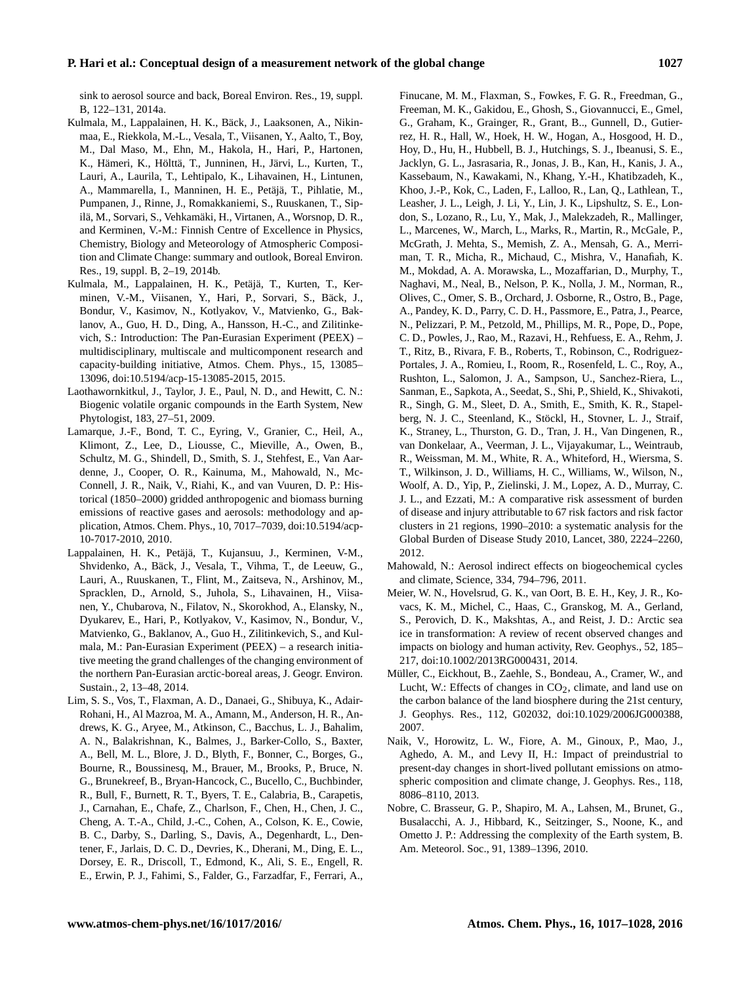sink to aerosol source and back, Boreal Environ. Res., 19, suppl. B, 122–131, 2014a.

- Kulmala, M., Lappalainen, H. K., Bäck, J., Laaksonen, A., Nikinmaa, E., Riekkola, M.-L., Vesala, T., Viisanen, Y., Aalto, T., Boy, M., Dal Maso, M., Ehn, M., Hakola, H., Hari, P., Hartonen, K., Hämeri, K., Hölttä, T., Junninen, H., Järvi, L., Kurten, T., Lauri, A., Laurila, T., Lehtipalo, K., Lihavainen, H., Lintunen, A., Mammarella, I., Manninen, H. E., Petäjä, T., Pihlatie, M., Pumpanen, J., Rinne, J., Romakkaniemi, S., Ruuskanen, T., Sipilä, M., Sorvari, S., Vehkamäki, H., Virtanen, A., Worsnop, D. R., and Kerminen, V.-M.: Finnish Centre of Excellence in Physics, Chemistry, Biology and Meteorology of Atmospheric Composition and Climate Change: summary and outlook, Boreal Environ. Res., 19, suppl. B, 2–19, 2014b.
- Kulmala, M., Lappalainen, H. K., Petäjä, T., Kurten, T., Kerminen, V.-M., Viisanen, Y., Hari, P., Sorvari, S., Bäck, J., Bondur, V., Kasimov, N., Kotlyakov, V., Matvienko, G., Baklanov, A., Guo, H. D., Ding, A., Hansson, H.-C., and Zilitinkevich, S.: Introduction: The Pan-Eurasian Experiment (PEEX) – multidisciplinary, multiscale and multicomponent research and capacity-building initiative, Atmos. Chem. Phys., 15, 13085– 13096, doi[:10.5194/acp-15-13085-2015,](http://dx.doi.org/10.5194/acp-15-13085-2015) 2015.
- Laothawornkitkul, J., Taylor, J. E., Paul, N. D., and Hewitt, C. N.: Biogenic volatile organic compounds in the Earth System, New Phytologist, 183, 27–51, 2009.
- Lamarque, J.-F., Bond, T. C., Eyring, V., Granier, C., Heil, A., Klimont, Z., Lee, D., Liousse, C., Mieville, A., Owen, B., Schultz, M. G., Shindell, D., Smith, S. J., Stehfest, E., Van Aardenne, J., Cooper, O. R., Kainuma, M., Mahowald, N., Mc-Connell, J. R., Naik, V., Riahi, K., and van Vuuren, D. P.: Historical (1850–2000) gridded anthropogenic and biomass burning emissions of reactive gases and aerosols: methodology and application, Atmos. Chem. Phys., 10, 7017–7039, doi[:10.5194/acp-](http://dx.doi.org/10.5194/acp-10-7017-2010)[10-7017-2010,](http://dx.doi.org/10.5194/acp-10-7017-2010) 2010.
- Lappalainen, H. K., Petäjä, T., Kujansuu, J., Kerminen, V-M., Shvidenko, A., Bäck, J., Vesala, T., Vihma, T., de Leeuw, G., Lauri, A., Ruuskanen, T., Flint, M., Zaitseva, N., Arshinov, M., Spracklen, D., Arnold, S., Juhola, S., Lihavainen, H., Viisanen, Y., Chubarova, N., Filatov, N., Skorokhod, A., Elansky, N., Dyukarev, E., Hari, P., Kotlyakov, V., Kasimov, N., Bondur, V., Matvienko, G., Baklanov, A., Guo H., Zilitinkevich, S., and Kulmala, M.: Pan-Eurasian Experiment (PEEX) – a research initiative meeting the grand challenges of the changing environment of the northern Pan-Eurasian arctic-boreal areas, J. Geogr. Environ. Sustain., 2, 13–48, 2014.
- Lim, S. S., Vos, T., Flaxman, A. D., Danaei, G., Shibuya, K., Adair-Rohani, H., Al Mazroa, M. A., Amann, M., Anderson, H. R., Andrews, K. G., Aryee, M., Atkinson, C., Bacchus, L. J., Bahalim, A. N., Balakrishnan, K., Balmes, J., Barker-Collo, S., Baxter, A., Bell, M. L., Blore, J. D., Blyth, F., Bonner, C., Borges, G., Bourne, R., Boussinesq, M., Brauer, M., Brooks, P., Bruce, N. G., Brunekreef, B., Bryan-Hancock, C., Bucello, C., Buchbinder, R., Bull, F., Burnett, R. T., Byers, T. E., Calabria, B., Carapetis, J., Carnahan, E., Chafe, Z., Charlson, F., Chen, H., Chen, J. C., Cheng, A. T.-A., Child, J.-C., Cohen, A., Colson, K. E., Cowie, B. C., Darby, S., Darling, S., Davis, A., Degenhardt, L., Dentener, F., Jarlais, D. C. D., Devries, K., Dherani, M., Ding, E. L., Dorsey, E. R., Driscoll, T., Edmond, K., Ali, S. E., Engell, R. E., Erwin, P. J., Fahimi, S., Falder, G., Farzadfar, F., Ferrari, A.,

Finucane, M. M., Flaxman, S., Fowkes, F. G. R., Freedman, G., Freeman, M. K., Gakidou, E., Ghosh, S., Giovannucci, E., Gmel, G., Graham, K., Grainger, R., Grant, B.., Gunnell, D., Gutierrez, H. R., Hall, W., Hoek, H. W., Hogan, A., Hosgood, H. D., Hoy, D., Hu, H., Hubbell, B. J., Hutchings, S. J., Ibeanusi, S. E., Jacklyn, G. L., Jasrasaria, R., Jonas, J. B., Kan, H., Kanis, J. A., Kassebaum, N., Kawakami, N., Khang, Y.-H., Khatibzadeh, K., Khoo, J.-P., Kok, C., Laden, F., Lalloo, R., Lan, Q., Lathlean, T., Leasher, J. L., Leigh, J. Li, Y., Lin, J. K., Lipshultz, S. E., London, S., Lozano, R., Lu, Y., Mak, J., Malekzadeh, R., Mallinger, L., Marcenes, W., March, L., Marks, R., Martin, R., McGale, P., McGrath, J. Mehta, S., Memish, Z. A., Mensah, G. A., Merriman, T. R., Micha, R., Michaud, C., Mishra, V., Hanafiah, K. M., Mokdad, A. A. Morawska, L., Mozaffarian, D., Murphy, T., Naghavi, M., Neal, B., Nelson, P. K., Nolla, J. M., Norman, R., Olives, C., Omer, S. B., Orchard, J. Osborne, R., Ostro, B., Page, A., Pandey, K. D., Parry, C. D. H., Passmore, E., Patra, J., Pearce, N., Pelizzari, P. M., Petzold, M., Phillips, M. R., Pope, D., Pope, C. D., Powles, J., Rao, M., Razavi, H., Rehfuess, E. A., Rehm, J. T., Ritz, B., Rivara, F. B., Roberts, T., Robinson, C., Rodriguez-Portales, J. A., Romieu, I., Room, R., Rosenfeld, L. C., Roy, A., Rushton, L., Salomon, J. A., Sampson, U., Sanchez-Riera, L., Sanman, E., Sapkota, A., Seedat, S., Shi, P., Shield, K., Shivakoti, R., Singh, G. M., Sleet, D. A., Smith, E., Smith, K. R., Stapelberg, N. J. C., Steenland, K., Stöckl, H., Stovner, L. J., Straif, K., Straney, L., Thurston, G. D., Tran, J. H., Van Dingenen, R., van Donkelaar, A., Veerman, J. L., Vijayakumar, L., Weintraub, R., Weissman, M. M., White, R. A., Whiteford, H., Wiersma, S. T., Wilkinson, J. D., Williams, H. C., Williams, W., Wilson, N., Woolf, A. D., Yip, P., Zielinski, J. M., Lopez, A. D., Murray, C. J. L., and Ezzati, M.: A comparative risk assessment of burden of disease and injury attributable to 67 risk factors and risk factor clusters in 21 regions, 1990–2010: a systematic analysis for the Global Burden of Disease Study 2010, Lancet, 380, 2224–2260, 2012.

- Mahowald, N.: Aerosol indirect effects on biogeochemical cycles and climate, Science, 334, 794–796, 2011.
- Meier, W. N., Hovelsrud, G. K., van Oort, B. E. H., Key, J. R., Kovacs, K. M., Michel, C., Haas, C., Granskog, M. A., Gerland, S., Perovich, D. K., Makshtas, A., and Reist, J. D.: Arctic sea ice in transformation: A review of recent observed changes and impacts on biology and human activity, Rev. Geophys., 52, 185– 217, doi[:10.1002/2013RG000431,](http://dx.doi.org/10.1002/2013RG000431) 2014.
- Müller, C., Eickhout, B., Zaehle, S., Bondeau, A., Cramer, W., and Lucht, W.: Effects of changes in  $CO<sub>2</sub>$ , climate, and land use on the carbon balance of the land biosphere during the 21st century, J. Geophys. Res., 112, G02032, doi[:10.1029/2006JG000388,](http://dx.doi.org/10.1029/2006JG000388) 2007.
- Naik, V., Horowitz, L. W., Fiore, A. M., Ginoux, P., Mao, J., Aghedo, A. M., and Levy II, H.: Impact of preindustrial to present-day changes in short-lived pollutant emissions on atmospheric composition and climate change, J. Geophys. Res., 118, 8086–8110, 2013.
- Nobre, C. Brasseur, G. P., Shapiro, M. A., Lahsen, M., Brunet, G., Busalacchi, A. J., Hibbard, K., Seitzinger, S., Noone, K., and Ometto J. P.: Addressing the complexity of the Earth system, B. Am. Meteorol. Soc., 91, 1389–1396, 2010.